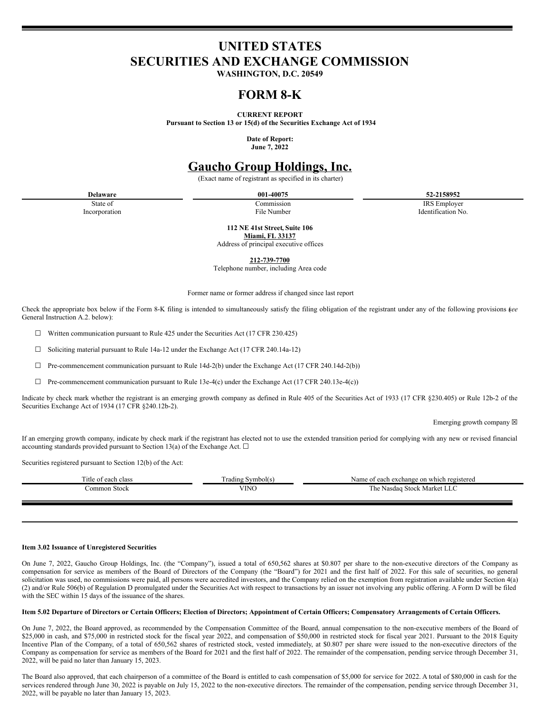# **UNITED STATES SECURITIES AND EXCHANGE COMMISSION**

**WASHINGTON, D.C. 20549**

## **FORM 8-K**

**CURRENT REPORT**

**Pursuant to Section 13 or 15(d) of the Securities Exchange Act of 1934**

**Date of Report: June 7, 2022**

## **Gaucho Group Holdings, Inc.**

(Exact name of registrant as specified in its charter)

**Delaware 001-40075 52-2158952**

State of Commission Commission and Commission and TRS Employer Incorporation 1888 Employer Incorporation New York 1991 Identification No.

**112 NE 41st Street, Suite 106**

**Miami, FL 33137** Address of principal executive offices

**212-739-7700**

Telephone number, including Area code

Former name or former address if changed since last report

Check the appropriate box below if the Form 8-K filing is intended to simultaneously satisfy the filing obligation of the registrant under any of the following provisions (*see* General Instruction A.2. below):

 $\Box$  Written communication pursuant to Rule 425 under the Securities Act (17 CFR 230.425)

 $\Box$  Soliciting material pursuant to Rule 14a-12 under the Exchange Act (17 CFR 240.14a-12)

 $\Box$  Pre-commencement communication pursuant to Rule 14d-2(b) under the Exchange Act (17 CFR 240.14d-2(b))

 $\Box$  Pre-commencement communication pursuant to Rule 13e-4(c) under the Exchange Act (17 CFR 240.13e-4(c))

Indicate by check mark whether the registrant is an emerging growth company as defined in Rule 405 of the Securities Act of 1933 (17 CFR §230.405) or Rule 12b-2 of the Securities Exchange Act of 1934 (17 CFR §240.12b-2).

Emerging growth company  $\boxtimes$ 

If an emerging growth company, indicate by check mark if the registrant has elected not to use the extended transition period for complying with any new or revised financial accounting standards provided pursuant to Section 13(a) of the Exchange Act.  $\square$ 

Securities registered pursuant to Section 12(b) of the Act:

| Title of each<br>ı class | Trading Symbol(s) | Name of each exchange on which registered       |
|--------------------------|-------------------|-------------------------------------------------|
| Common Stock             | <b>VINO</b>       | $T T \cap$<br>e Nasdag Stock Market LLC<br>1 he |
|                          |                   |                                                 |

#### **Item 3.02 Issuance of Unregistered Securities**

On June 7, 2022, Gaucho Group Holdings, Inc. (the "Company"), issued a total of 650,562 shares at \$0.807 per share to the non-executive directors of the Company as compensation for service as members of the Board of Directors of the Company (the "Board") for 2021 and the first half of 2022. For this sale of securities, no general solicitation was used, no commissions were paid, all persons were accredited investors, and the Company relied on the exemption from registration available under Section 4(a) (2) and/or Rule 506(b) of Regulation D promulgated under the Securities Act with respect to transactions by an issuer not involving any public offering. A Form D will be filed with the SEC within 15 days of the issuance of the shares.

#### Item 5.02 Departure of Directors or Certain Officers; Election of Directors; Appointment of Certain Officers; Compensatory Arrangements of Certain Officers.

On June 7, 2022, the Board approved, as recommended by the Compensation Committee of the Board, annual compensation to the non-executive members of the Board of \$25,000 in cash, and \$75,000 in restricted stock for the fiscal year 2022, and compensation of \$50,000 in restricted stock for fiscal year 2021. Pursuant to the 2018 Equity Incentive Plan of the Company, of a total of 650,562 shares of restricted stock, vested immediately, at \$0.807 per share were issued to the non-executive directors of the Company as compensation for service as members of the Board for 2021 and the first half of 2022. The remainder of the compensation, pending service through December 31, 2022, will be paid no later than January 15, 2023.

The Board also approved, that each chairperson of a committee of the Board is entitled to cash compensation of \$5,000 for service for 2022. A total of \$80,000 in cash for the services rendered through June 30, 2022 is payable on July 15, 2022 to the non-executive directors. The remainder of the compensation, pending service through December 31, 2022, will be payable no later than January 15, 2023.